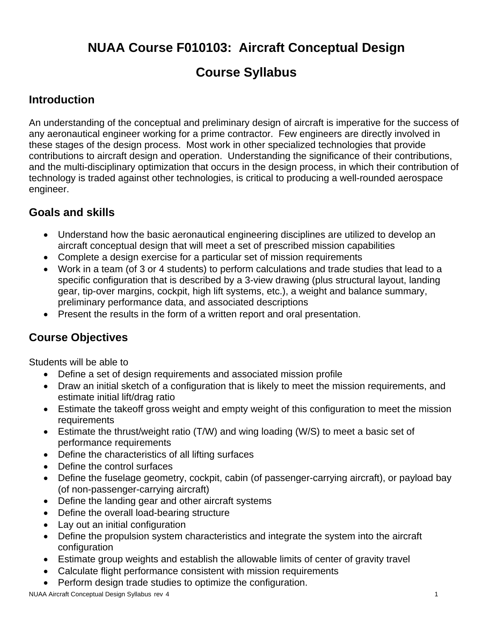# **NUAA Course F010103: Aircraft Conceptual Design**

# **Course Syllabus**

### **Introduction**

An understanding of the conceptual and preliminary design of aircraft is imperative for the success of any aeronautical engineer working for a prime contractor. Few engineers are directly involved in these stages of the design process. Most work in other specialized technologies that provide contributions to aircraft design and operation. Understanding the significance of their contributions, and the multi-disciplinary optimization that occurs in the design process, in which their contribution of technology is traded against other technologies, is critical to producing a well-rounded aerospace engineer.

### **Goals and skills**

- Understand how the basic aeronautical engineering disciplines are utilized to develop an aircraft conceptual design that will meet a set of prescribed mission capabilities
- Complete a design exercise for a particular set of mission requirements
- Work in a team (of 3 or 4 students) to perform calculations and trade studies that lead to a specific configuration that is described by a 3-view drawing (plus structural layout, landing gear, tip-over margins, cockpit, high lift systems, etc.), a weight and balance summary, preliminary performance data, and associated descriptions
- Present the results in the form of a written report and oral presentation.

## **Course Objectives**

Students will be able to

- Define a set of design requirements and associated mission profile
- Draw an initial sketch of a configuration that is likely to meet the mission requirements, and estimate initial lift/drag ratio
- Estimate the takeoff gross weight and empty weight of this configuration to meet the mission requirements
- Estimate the thrust/weight ratio (T/W) and wing loading (W/S) to meet a basic set of performance requirements
- Define the characteristics of all lifting surfaces
- Define the control surfaces
- Define the fuselage geometry, cockpit, cabin (of passenger-carrying aircraft), or payload bay (of non-passenger-carrying aircraft)
- Define the landing gear and other aircraft systems
- Define the overall load-bearing structure
- Lay out an initial configuration
- Define the propulsion system characteristics and integrate the system into the aircraft configuration
- Estimate group weights and establish the allowable limits of center of gravity travel
- Calculate flight performance consistent with mission requirements
- Perform design trade studies to optimize the configuration.

NUAA Aircraft Conceptual Design Syllabus rev 4 1